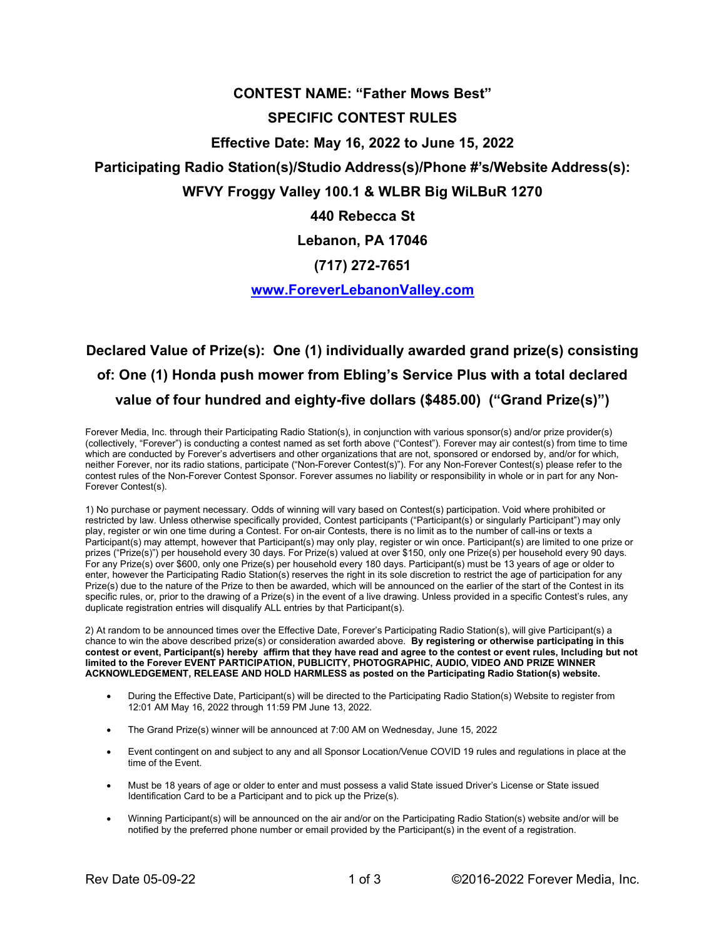## CONTEST NAME: "Father Mows Best" SPECIFIC CONTEST RULES Effective Date: May 16, 2022 to June 15, 2022 Participating Radio Station(s)/Studio Address(s)/Phone #'s/Website Address(s): WFVY Froggy Valley 100.1 & WLBR Big WiLBuR 1270 440 Rebecca St Lebanon, PA 17046

## (717) 272-7651

## www.ForeverLebanonValley.com

## Declared Value of Prize(s): One (1) individually awarded grand prize(s) consisting of: One (1) Honda push mower from Ebling's Service Plus with a total declared value of four hundred and eighty-five dollars (\$485.00) ("Grand Prize(s)")

Forever Media, Inc. through their Participating Radio Station(s), in conjunction with various sponsor(s) and/or prize provider(s) (collectively, "Forever") is conducting a contest named as set forth above ("Contest"). Forever may air contest(s) from time to time which are conducted by Forever's advertisers and other organizations that are not, sponsored or endorsed by, and/or for which, neither Forever, nor its radio stations, participate ("Non-Forever Contest(s)"). For any Non-Forever Contest(s) please refer to the contest rules of the Non-Forever Contest Sponsor. Forever assumes no liability or responsibility in whole or in part for any Non-Forever Contest(s).

1) No purchase or payment necessary. Odds of winning will vary based on Contest(s) participation. Void where prohibited or restricted by law. Unless otherwise specifically provided, Contest participants ("Participant(s) or singularly Participant") may only play, register or win one time during a Contest. For on-air Contests, there is no limit as to the number of call-ins or texts a Participant(s) may attempt, however that Participant(s) may only play, register or win once. Participant(s) are limited to one prize or prizes ("Prize(s)") per household every 30 days. For Prize(s) valued at over \$150, only one Prize(s) per household every 90 days. For any Prize(s) over \$600, only one Prize(s) per household every 180 days. Participant(s) must be 13 years of age or older to enter, however the Participating Radio Station(s) reserves the right in its sole discretion to restrict the age of participation for any Prize(s) due to the nature of the Prize to then be awarded, which will be announced on the earlier of the start of the Contest in its specific rules, or, prior to the drawing of a Prize(s) in the event of a live drawing. Unless provided in a specific Contest's rules, any duplicate registration entries will disqualify ALL entries by that Participant(s).

2) At random to be announced times over the Effective Date, Forever's Participating Radio Station(s), will give Participant(s) a chance to win the above described prize(s) or consideration awarded above. By registering or otherwise participating in this contest or event, Participant(s) hereby affirm that they have read and agree to the contest or event rules, Including but not limited to the Forever EVENT PARTICIPATION, PUBLICITY, PHOTOGRAPHIC, AUDIO, VIDEO AND PRIZE WINNER ACKNOWLEDGEMENT, RELEASE AND HOLD HARMLESS as posted on the Participating Radio Station(s) website.

- During the Effective Date, Participant(s) will be directed to the Participating Radio Station(s) Website to register from 12:01 AM May 16, 2022 through 11:59 PM June 13, 2022.
- The Grand Prize(s) winner will be announced at 7:00 AM on Wednesday, June 15, 2022
- Event contingent on and subject to any and all Sponsor Location/Venue COVID 19 rules and regulations in place at the time of the Event.
- Must be 18 years of age or older to enter and must possess a valid State issued Driver's License or State issued Identification Card to be a Participant and to pick up the Prize(s).
- Winning Participant(s) will be announced on the air and/or on the Participating Radio Station(s) website and/or will be notified by the preferred phone number or email provided by the Participant(s) in the event of a registration.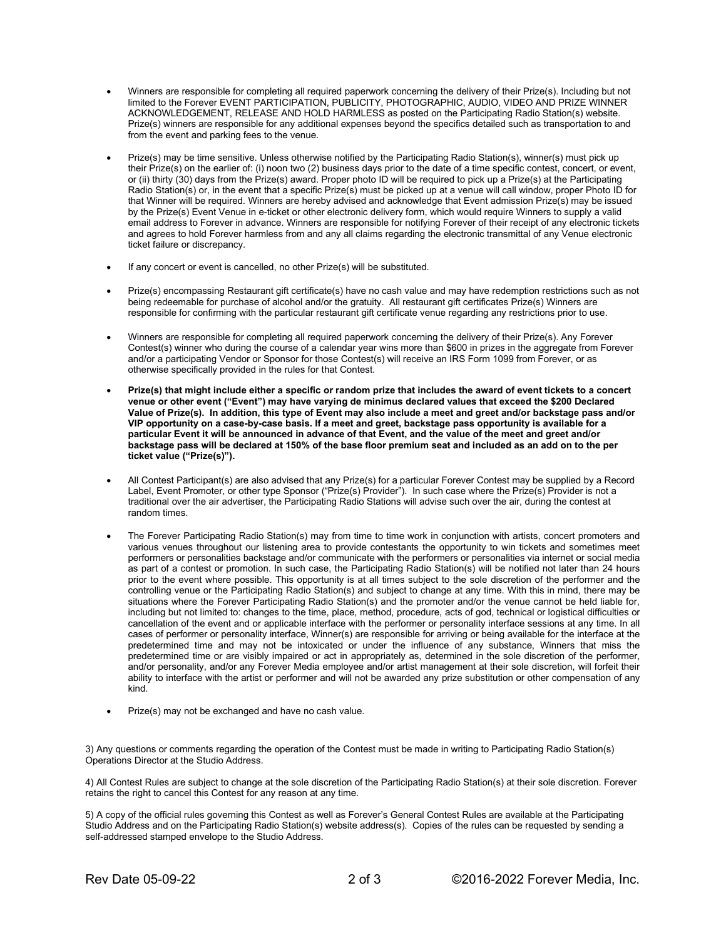- Winners are responsible for completing all required paperwork concerning the delivery of their Prize(s). Including but not limited to the Forever EVENT PARTICIPATION, PUBLICITY, PHOTOGRAPHIC, AUDIO, VIDEO AND PRIZE WINNER ACKNOWLEDGEMENT, RELEASE AND HOLD HARMLESS as posted on the Participating Radio Station(s) website. Prize(s) winners are responsible for any additional expenses beyond the specifics detailed such as transportation to and from the event and parking fees to the venue.
- Prize(s) may be time sensitive. Unless otherwise notified by the Participating Radio Station(s), winner(s) must pick up their Prize(s) on the earlier of: (i) noon two (2) business days prior to the date of a time specific contest, concert, or event, or (ii) thirty (30) days from the Prize(s) award. Proper photo ID will be required to pick up a Prize(s) at the Participating Radio Station(s) or, in the event that a specific Prize(s) must be picked up at a venue will call window, proper Photo ID for that Winner will be required. Winners are hereby advised and acknowledge that Event admission Prize(s) may be issued by the Prize(s) Event Venue in e-ticket or other electronic delivery form, which would require Winners to supply a valid email address to Forever in advance. Winners are responsible for notifying Forever of their receipt of any electronic tickets and agrees to hold Forever harmless from and any all claims regarding the electronic transmittal of any Venue electronic ticket failure or discrepancy.
- If any concert or event is cancelled, no other Prize(s) will be substituted.
- Prize(s) encompassing Restaurant gift certificate(s) have no cash value and may have redemption restrictions such as not being redeemable for purchase of alcohol and/or the gratuity. All restaurant gift certificates Prize(s) Winners are responsible for confirming with the particular restaurant gift certificate venue regarding any restrictions prior to use.
- Winners are responsible for completing all required paperwork concerning the delivery of their Prize(s). Any Forever Contest(s) winner who during the course of a calendar year wins more than \$600 in prizes in the aggregate from Forever and/or a participating Vendor or Sponsor for those Contest(s) will receive an IRS Form 1099 from Forever, or as otherwise specifically provided in the rules for that Contest.
- Prize(s) that might include either a specific or random prize that includes the award of event tickets to a concert venue or other event ("Event") may have varying de minimus declared values that exceed the \$200 Declared Value of Prize(s). In addition, this type of Event may also include a meet and greet and/or backstage pass and/or VIP opportunity on a case-by-case basis. If a meet and greet, backstage pass opportunity is available for a particular Event it will be announced in advance of that Event, and the value of the meet and greet and/or backstage pass will be declared at 150% of the base floor premium seat and included as an add on to the per ticket value ("Prize(s)").
- All Contest Participant(s) are also advised that any Prize(s) for a particular Forever Contest may be supplied by a Record Label, Event Promoter, or other type Sponsor ("Prize(s) Provider"). In such case where the Prize(s) Provider is not a traditional over the air advertiser, the Participating Radio Stations will advise such over the air, during the contest at random times.
- The Forever Participating Radio Station(s) may from time to time work in conjunction with artists, concert promoters and various venues throughout our listening area to provide contestants the opportunity to win tickets and sometimes meet performers or personalities backstage and/or communicate with the performers or personalities via internet or social media as part of a contest or promotion. In such case, the Participating Radio Station(s) will be notified not later than 24 hours prior to the event where possible. This opportunity is at all times subject to the sole discretion of the performer and the controlling venue or the Participating Radio Station(s) and subject to change at any time. With this in mind, there may be situations where the Forever Participating Radio Station(s) and the promoter and/or the venue cannot be held liable for, including but not limited to: changes to the time, place, method, procedure, acts of god, technical or logistical difficulties or cancellation of the event and or applicable interface with the performer or personality interface sessions at any time. In all cases of performer or personality interface, Winner(s) are responsible for arriving or being available for the interface at the predetermined time and may not be intoxicated or under the influence of any substance, Winners that miss the predetermined time or are visibly impaired or act in appropriately as, determined in the sole discretion of the performer, and/or personality, and/or any Forever Media employee and/or artist management at their sole discretion, will forfeit their ability to interface with the artist or performer and will not be awarded any prize substitution or other compensation of any kind.
- Prize(s) may not be exchanged and have no cash value.

3) Any questions or comments regarding the operation of the Contest must be made in writing to Participating Radio Station(s) Operations Director at the Studio Address.

4) All Contest Rules are subject to change at the sole discretion of the Participating Radio Station(s) at their sole discretion. Forever retains the right to cancel this Contest for any reason at any time.

5) A copy of the official rules governing this Contest as well as Forever's General Contest Rules are available at the Participating Studio Address and on the Participating Radio Station(s) website address(s). Copies of the rules can be requested by sending a self-addressed stamped envelope to the Studio Address.